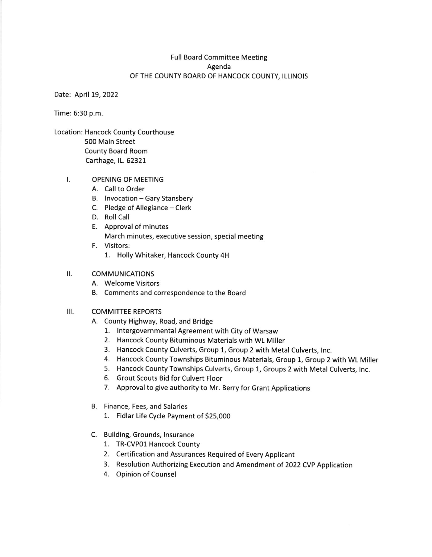# Full Board Committee Meeting Agenda OF THE COUNTY BOARD OF HANCOCK COUNTY, ILLINOIS

Date: April 19, 2022

Time: 6:30 p.m.

Location: Hancock County Courthouse 500 Main Street County Board Room Carthage, lL. 62321

### OPENING OF MEETING t.

- A. Call to Order
- B. Invocation Gary Stansbery
- C. Pledge of Allegiance Clerk
- D. Roll Call
- E. Approval of minutes March minutes, executive session, special meeting
- F. Visitors:
	- 1. Holly Whitaker, Hancock County 4H

#### $\mathbf{II}$ . COMMUNICATIONS

- A. Welcome Visitors
- B. Comments and correspondence to the Board

#### $III.$ COMMITTEE REPORTS

- A. County Highway, Road, and Bridge
	- 1. lntergovernmental Agreement with City of Warsaw
	- 2. Hancock County Bituminous Materials with WL Miller
	- 3. Hancock County Culverts, Group 1, Group 2 with Metal Culverts, lnc.
	- 4. Hancock County Townships Bltuminous Materials, Group 1, Group 2 with WL Miller
	- 5. Hancock County Townships Culverts, Group 1, Groups 2 with Metal Culverts, lnc.
	- 6. Grout Scouts Bid for Culvert Floor
	- 7. Approval to give authority to Mr. Berry for Grant Applications
- B. Finance, Fees, and Salaries
	- 1. Fidlar Life Cycle Payment of 525,000
- C. Building, Grounds, lnsurance
	- 1. TR-CVP01 Hancock County
	- 2. Certification and Assurances Required of Every Applicant
	- 3. Resolution Authorizing Execution and Amendment of 2OZZ CVp Application
	- 4. Opinion of Counsel